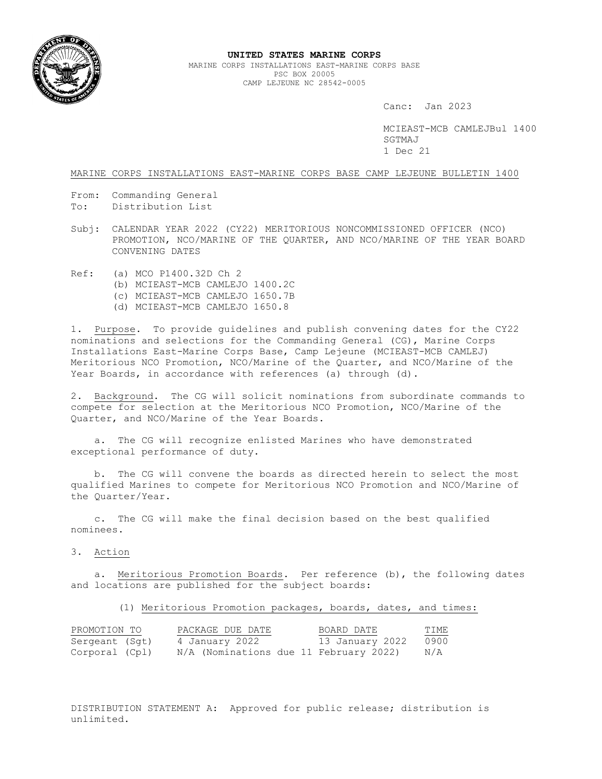

### **UNITED STATES MARINE CORPS**

MARINE CORPS INSTALLATIONS EAST-MARINE CORPS BASE PSC BOX 20005 CAMP LEJEUNE NC 28542-0005

Canc: Jan 2023

 MCIEAST-MCB CAMLEJBul 1400 SGTMAJ 1 Dec 21

### MARINE CORPS INSTALLATIONS EAST-MARINE CORPS BASE CAMP LEJEUNE BULLETIN 1400

From: Commanding General To: Distribution List

Subj: CALENDAR YEAR 2022 (CY22) MERITORIOUS NONCOMMISSIONED OFFICER (NCO) PROMOTION, NCO/MARINE OF THE QUARTER, AND NCO/MARINE OF THE YEAR BOARD CONVENING DATES

- Ref: (a) MCO P1400.32D Ch 2
	- (b) MCIEAST-MCB CAMLEJO 1400.2C
	- (c) MCIEAST-MCB CAMLEJO 1650.7B
	- (d) MCIEAST-MCB CAMLEJO 1650.8

1. Purpose. To provide guidelines and publish convening dates for the CY22 nominations and selections for the Commanding General (CG), Marine Corps Installations East-Marine Corps Base, Camp Lejeune (MCIEAST-MCB CAMLEJ) Meritorious NCO Promotion, NCO/Marine of the Quarter, and NCO/Marine of the Year Boards, in accordance with references (a) through (d).

2. Background. The CG will solicit nominations from subordinate commands to compete for selection at the Meritorious NCO Promotion, NCO/Marine of the Quarter, and NCO/Marine of the Year Boards.

 a. The CG will recognize enlisted Marines who have demonstrated exceptional performance of duty.

 b. The CG will convene the boards as directed herein to select the most qualified Marines to compete for Meritorious NCO Promotion and NCO/Marine of the Quarter/Year.

 c. The CG will make the final decision based on the best qualified nominees.

3. Action

 a. Meritorious Promotion Boards. Per reference (b), the following dates and locations are published for the subject boards:

(1) Meritorious Promotion packages, boards, dates, and times:

| PROMOTION TO   | PACKAGE DUE DATE                       | BOARD DATE      | TIME |
|----------------|----------------------------------------|-----------------|------|
| Sergeant (Sqt) | 4 January 2022                         | 13 January 2022 | 0900 |
| Corporal (Cpl) | N/A (Nominations due 11 February 2022) |                 | N/A  |

DISTRIBUTION STATEMENT A: Approved for public release; distribution is unlimited.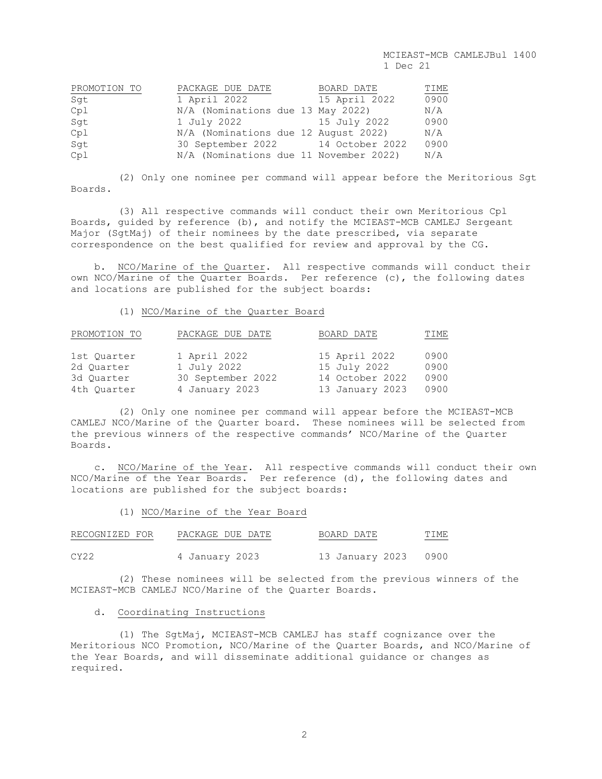MCIEAST-MCB CAMLEJBul 1400 1 Dec 21

| PROMOTION TO | PACKAGE DUE DATE                       | BOARD DATE    | TIME |
|--------------|----------------------------------------|---------------|------|
| Sqt          | 1 April 2022                           | 15 April 2022 | 0900 |
| Cpl          | N/A (Nominations due 13 May 2022)      |               | N/A  |
| Sgt          | 1 July 2022 15 July 2022               |               | 0900 |
| Cp1          | N/A (Nominations due 12 August 2022)   |               | N/A  |
| Sqt          | 30 September 2022 14 October 2022      |               | 0900 |
| Cpl          | N/A (Nominations due 11 November 2022) |               | N/A  |

 (2) Only one nominee per command will appear before the Meritorious Sgt Boards.

 (3) All respective commands will conduct their own Meritorious Cpl Boards, guided by reference (b), and notify the MCIEAST-MCB CAMLEJ Sergeant Major (SgtMaj) of their nominees by the date prescribed, via separate correspondence on the best qualified for review and approval by the CG.

 b. NCO/Marine of the Quarter. All respective commands will conduct their own NCO/Marine of the Quarter Boards. Per reference (c), the following dates and locations are published for the subject boards:

# (1) NCO/Marine of the Quarter Board

| PROMOTION TO | PACKAGE DUE DATE  | BOARD DATE      | TIME |
|--------------|-------------------|-----------------|------|
| 1st Ouarter  | 1 April 2022      | 15 April 2022   | 0900 |
| 2d Ouarter   | 1 July 2022       | 15 July 2022    | 0900 |
| 3d Ouarter   | 30 September 2022 | 14 October 2022 | 0900 |
| 4th Ouarter  | 4 January 2023    | 13 January 2023 | 0900 |

 (2) Only one nominee per command will appear before the MCIEAST-MCB CAMLEJ NCO/Marine of the Quarter board. These nominees will be selected from the previous winners of the respective commands' NCO/Marine of the Quarter Boards.

 c. NCO/Marine of the Year. All respective commands will conduct their own NCO/Marine of the Year Boards. Per reference (d), the following dates and locations are published for the subject boards:

## (1) NCO/Marine of the Year Board

| RECOGNIZED FOR | PACKAGE DUE DATE | BOARD DATE           | TIME |
|----------------|------------------|----------------------|------|
| CY22           | 4 January 2023   | 13 January 2023 0900 |      |

 (2) These nominees will be selected from the previous winners of the MCIEAST-MCB CAMLEJ NCO/Marine of the Quarter Boards.

### d. Coordinating Instructions

 (1) The SgtMaj, MCIEAST-MCB CAMLEJ has staff cognizance over the Meritorious NCO Promotion, NCO/Marine of the Quarter Boards, and NCO/Marine of the Year Boards, and will disseminate additional guidance or changes as required.